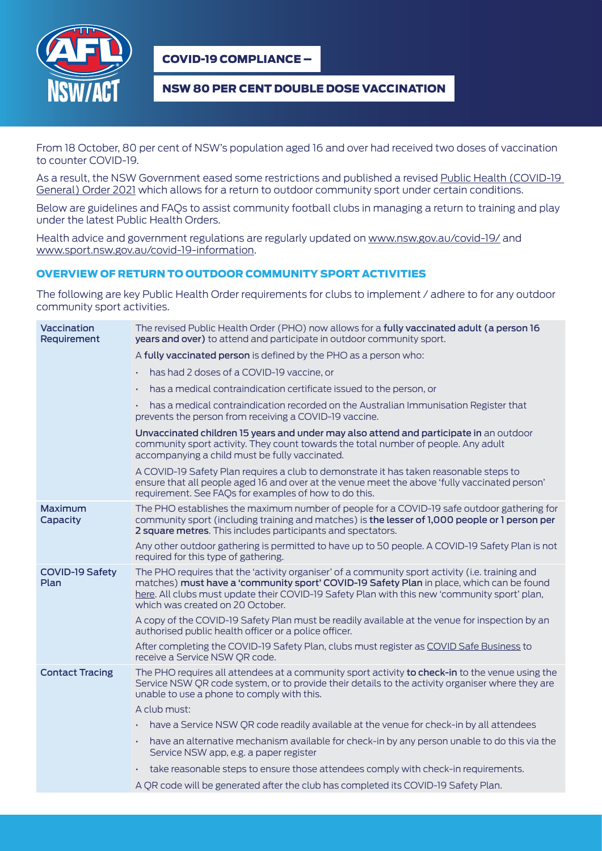

COVID-19 COMPLIANCE –

### NSW 80 PER CENT DOUBLE DOSE VACCINATION

From 18 October, 80 per cent of NSW's population aged 16 and over had received two doses of vaccination to counter COVID-19.

As a result, the NSW Government eased some restrictions and published a revised [Public Health \(COVID-19](https://legislation.nsw.gov.au/file/Public%20Health%20(COVID-19%20General)%20Order%202021_211019_4.57pm.pdf)  [General\) Order 2021](https://legislation.nsw.gov.au/file/Public%20Health%20(COVID-19%20General)%20Order%202021_211019_4.57pm.pdf) which allows for a return to outdoor community sport under certain conditions.

Below are guidelines and FAQs to assist community football clubs in managing a return to training and play under the latest Public Health Orders.

Health advice and government regulations are regularly updated on [www.nsw.gov.au/covid-19/](http://www.nsw.gov.au/covid-19/) and [www.sport.nsw.gov.au/covid-19-information](http://www.sport.nsw.gov.au/covid-19-information).

#### OVERVIEW OF RETURN TO OUTDOOR COMMUNITY SPORT ACTIVITIES

The following are key Public Health Order requirements for clubs to implement / adhere to for any outdoor community sport activities.

| Vaccination<br>Requirement     | The revised Public Health Order (PHO) now allows for a fully vaccinated adult (a person 16<br><b>years and over)</b> to attend and participate in outdoor community sport.                                                                                                                                                      |
|--------------------------------|---------------------------------------------------------------------------------------------------------------------------------------------------------------------------------------------------------------------------------------------------------------------------------------------------------------------------------|
|                                | A fully vaccinated person is defined by the PHO as a person who:                                                                                                                                                                                                                                                                |
|                                | has had 2 doses of a COVID-19 vaccine, or                                                                                                                                                                                                                                                                                       |
|                                | has a medical contraindication certificate issued to the person, or<br>×.                                                                                                                                                                                                                                                       |
|                                | . has a medical contraindication recorded on the Australian Immunisation Register that<br>prevents the person from receiving a COVID-19 vaccine.                                                                                                                                                                                |
|                                | Unvaccinated children 15 years and under may also attend and participate in an outdoor<br>community sport activity. They count towards the total number of people. Any adult<br>accompanying a child must be fully vaccinated.                                                                                                  |
|                                | A COVID-19 Safety Plan requires a club to demonstrate it has taken reasonable steps to<br>ensure that all people aged 16 and over at the venue meet the above 'fully vaccinated person'<br>requirement. See FAQs for examples of how to do this.                                                                                |
| Maximum<br>Capacity            | The PHO establishes the maximum number of people for a COVID-19 safe outdoor gathering for<br>community sport (including training and matches) is the lesser of 1,000 people or 1 person per<br>2 square metres. This includes participants and spectators.                                                                     |
|                                | Any other outdoor gathering is permitted to have up to 50 people. A COVID-19 Safety Plan is not<br>required for this type of gathering.                                                                                                                                                                                         |
| <b>COVID-19 Safety</b><br>Plan | The PHO requires that the 'activity organiser' of a community sport activity (i.e. training and<br>matches) must have a 'community sport' COVID-19 Safety Plan in place, which can be found<br>here. All clubs must update their COVID-19 Safety Plan with this new 'community sport' plan,<br>which was created on 20 October. |
|                                | A copy of the COVID-19 Safety Plan must be readily available at the venue for inspection by an<br>authorised public health officer or a police officer.                                                                                                                                                                         |
|                                | After completing the COVID-19 Safety Plan, clubs must register as COVID Safe Business to<br>receive a Service NSW OR code.                                                                                                                                                                                                      |
| <b>Contact Tracing</b>         | The PHO requires all attendees at a community sport activity to check-in to the venue using the<br>Service NSW QR code system, or to provide their details to the activity organiser where they are<br>unable to use a phone to comply with this.                                                                               |
|                                | A club must:                                                                                                                                                                                                                                                                                                                    |
|                                | have a Service NSW QR code readily available at the venue for check-in by all attendees<br>×.                                                                                                                                                                                                                                   |
|                                | have an alternative mechanism available for check-in by any person unable to do this via the<br>×.<br>Service NSW app, e.g. a paper register                                                                                                                                                                                    |
|                                | take reasonable steps to ensure those attendees comply with check-in requirements.<br>×.                                                                                                                                                                                                                                        |
|                                | A QR code will be generated after the club has completed its COVID-19 Safety Plan.                                                                                                                                                                                                                                              |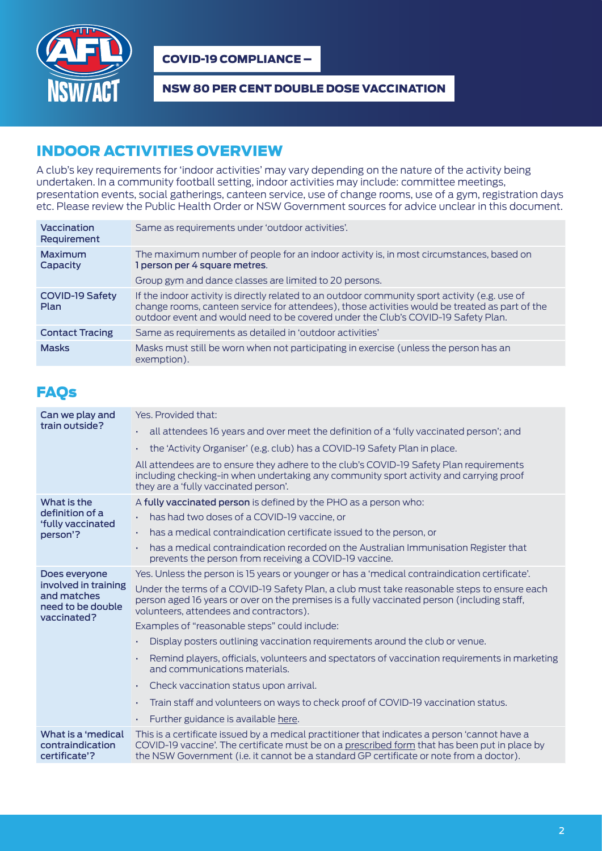

COVID-19 COMPLIANCE –

### NSW 80 PER CENT DOUBLE DOSE VACCINATION

## INDOOR ACTIVITIES OVERVIEW

A club's key requirements for 'indoor activities' may vary depending on the nature of the activity being undertaken. In a community football setting, indoor activities may include: committee meetings, presentation events, social gatherings, canteen service, use of change rooms, use of a gym, registration days etc. Please review the Public Health Order or NSW Government sources for advice unclear in this document.

| Vaccination<br>Requirement     | Same as requirements under 'outdoor activities'.                                                                                                                                                                                                                                      |
|--------------------------------|---------------------------------------------------------------------------------------------------------------------------------------------------------------------------------------------------------------------------------------------------------------------------------------|
| Maximum<br>Capacity            | The maximum number of people for an indoor activity is, in most circumstances, based on<br>1 person per 4 square metres.                                                                                                                                                              |
|                                | Group gym and dance classes are limited to 20 persons.                                                                                                                                                                                                                                |
| <b>COVID-19 Safety</b><br>Plan | If the indoor activity is directly related to an outdoor community sport activity (e.g. use of<br>change rooms, canteen service for attendees), those activities would be treated as part of the<br>outdoor event and would need to be covered under the Club's COVID-19 Safety Plan. |
| <b>Contact Tracing</b>         | Same as requirements as detailed in 'outdoor activities'                                                                                                                                                                                                                              |
| <b>Masks</b>                   | Masks must still be worn when not participating in exercise (unless the person has an<br>exemption).                                                                                                                                                                                  |

# **FAOs**

| Can we play and<br>train outside?                                                        | Yes, Provided that:                                                                                                                                                                                                                                                                       |
|------------------------------------------------------------------------------------------|-------------------------------------------------------------------------------------------------------------------------------------------------------------------------------------------------------------------------------------------------------------------------------------------|
|                                                                                          | all attendees 16 years and over meet the definition of a 'fully vaccinated person'; and<br>×.                                                                                                                                                                                             |
|                                                                                          | the 'Activity Organiser' (e.g. club) has a COVID-19 Safety Plan in place.<br>×.                                                                                                                                                                                                           |
|                                                                                          | All attendees are to ensure they adhere to the club's COVID-19 Safety Plan requirements<br>including checking-in when undertaking any community sport activity and carrying proof<br>they are a 'fully vaccinated person'.                                                                |
| What is the<br>definition of a<br>'fully vaccinated<br>person'?                          | A fully vaccinated person is defined by the PHO as a person who:                                                                                                                                                                                                                          |
|                                                                                          | has had two doses of a COVID-19 vaccine, or<br>×.                                                                                                                                                                                                                                         |
|                                                                                          | has a medical contraindication certificate issued to the person, or<br>×.                                                                                                                                                                                                                 |
|                                                                                          | has a medical contraindication recorded on the Australian Immunisation Register that<br>×.<br>prevents the person from receiving a COVID-19 vaccine.                                                                                                                                      |
| Does everyone<br>involved in training<br>and matches<br>need to be double<br>vaccinated? | Yes. Unless the person is 15 years or younger or has a 'medical contraindication certificate'.                                                                                                                                                                                            |
|                                                                                          | Under the terms of a COVID-19 Safety Plan, a club must take reasonable steps to ensure each<br>person aged 16 years or over on the premises is a fully vaccinated person (including staff,<br>volunteers, attendees and contractors).                                                     |
|                                                                                          | Examples of "reasonable steps" could include:                                                                                                                                                                                                                                             |
|                                                                                          | Display posters outlining vaccination requirements around the club or venue.<br>×.                                                                                                                                                                                                        |
|                                                                                          | Remind players, officials, volunteers and spectators of vaccination requirements in marketing<br>٠<br>and communications materials.                                                                                                                                                       |
|                                                                                          | Check vaccination status upon arrival.<br>×.                                                                                                                                                                                                                                              |
|                                                                                          | Train staff and volunteers on ways to check proof of COVID-19 vaccination status.<br>٠                                                                                                                                                                                                    |
|                                                                                          | Further guidance is available here.<br>к.                                                                                                                                                                                                                                                 |
| What is a 'medical<br>contraindication<br>certificate'?                                  | This is a certificate issued by a medical practitioner that indicates a person 'cannot have a<br>COVID-19 vaccine'. The certificate must be on a prescribed form that has been put in place by<br>the NSW Government (i.e. it cannot be a standard GP certificate or note from a doctor). |
|                                                                                          |                                                                                                                                                                                                                                                                                           |